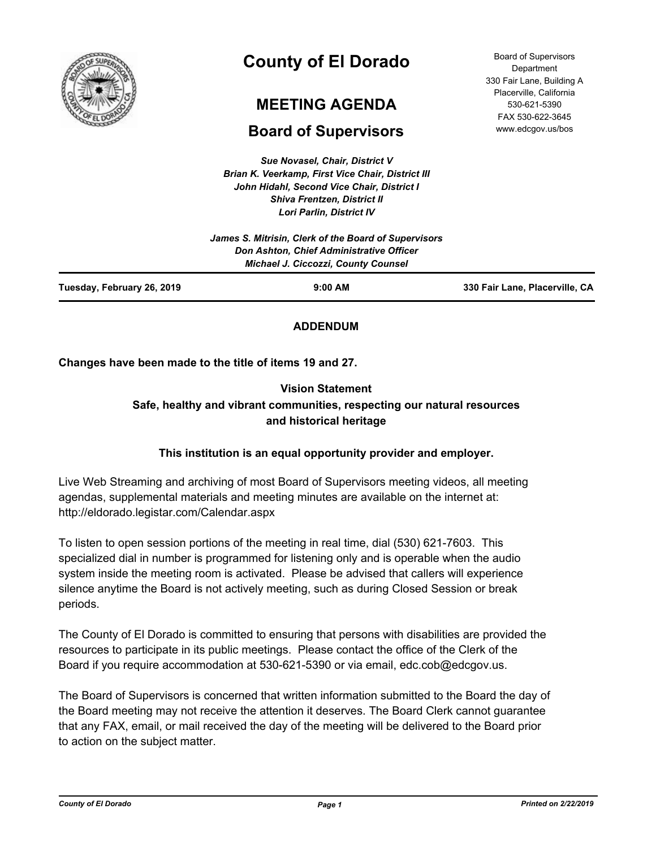

# **County of El Dorado**

# **MEETING AGENDA**

# **Board of Super**

**Sue Novasel, C.** *Brian K. Veerkamp, First John Hidahl, Second Vice Chair, District I Shiva Frentzen, District II Lori Parlin, District IV*

| <b>AGENDA</b>                     | 530-621-5390<br>FAX 530-622-3645 |
|-----------------------------------|----------------------------------|
|                                   | www.edcgov.us/bos                |
| upervisors                        |                                  |
| <b>`hair, District V</b>          |                                  |
| <b>t Vice Chair, District III</b> |                                  |
| Vico Chair Dietrict I             |                                  |

Board of Supervisors **Department** 330 Fair Lane, Building A Placerville, California

| Tuesday, February 26, 2019 | $9:00$ AM                                                                              | 330 Fair Lane, Placerville, CA |
|----------------------------|----------------------------------------------------------------------------------------|--------------------------------|
|                            | Don Ashton, Chief Administrative Officer<br><b>Michael J. Ciccozzi, County Counsel</b> |                                |
|                            | James S. Mitrisin, Clerk of the Board of Supervisors                                   |                                |

# **ADDENDUM**

**Changes have been made to the title of items 19 and 27.**

# **Vision Statement Safe, healthy and vibrant communities, respecting our natural resources and historical heritage**

# **This institution is an equal opportunity provider and employer.**

Live Web Streaming and archiving of most Board of Supervisors meeting videos, all meeting agendas, supplemental materials and meeting minutes are available on the internet at: http://eldorado.legistar.com/Calendar.aspx

To listen to open session portions of the meeting in real time, dial (530) 621-7603. This specialized dial in number is programmed for listening only and is operable when the audio system inside the meeting room is activated. Please be advised that callers will experience silence anytime the Board is not actively meeting, such as during Closed Session or break periods.

The County of El Dorado is committed to ensuring that persons with disabilities are provided the resources to participate in its public meetings. Please contact the office of the Clerk of the Board if you require accommodation at 530-621-5390 or via email, edc.cob@edcgov.us.

The Board of Supervisors is concerned that written information submitted to the Board the day of the Board meeting may not receive the attention it deserves. The Board Clerk cannot guarantee that any FAX, email, or mail received the day of the meeting will be delivered to the Board prior to action on the subject matter.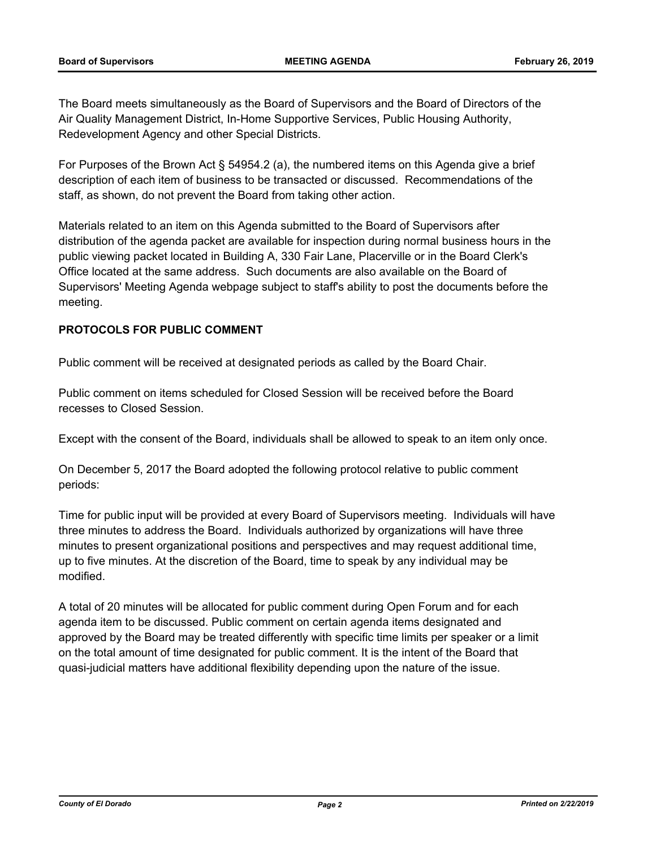The Board meets simultaneously as the Board of Supervisors and the Board of Directors of the Air Quality Management District, In-Home Supportive Services, Public Housing Authority, Redevelopment Agency and other Special Districts.

For Purposes of the Brown Act § 54954.2 (a), the numbered items on this Agenda give a brief description of each item of business to be transacted or discussed. Recommendations of the staff, as shown, do not prevent the Board from taking other action.

Materials related to an item on this Agenda submitted to the Board of Supervisors after distribution of the agenda packet are available for inspection during normal business hours in the public viewing packet located in Building A, 330 Fair Lane, Placerville or in the Board Clerk's Office located at the same address. Such documents are also available on the Board of Supervisors' Meeting Agenda webpage subject to staff's ability to post the documents before the meeting.

# **PROTOCOLS FOR PUBLIC COMMENT**

Public comment will be received at designated periods as called by the Board Chair.

Public comment on items scheduled for Closed Session will be received before the Board recesses to Closed Session.

Except with the consent of the Board, individuals shall be allowed to speak to an item only once.

On December 5, 2017 the Board adopted the following protocol relative to public comment periods:

Time for public input will be provided at every Board of Supervisors meeting. Individuals will have three minutes to address the Board. Individuals authorized by organizations will have three minutes to present organizational positions and perspectives and may request additional time, up to five minutes. At the discretion of the Board, time to speak by any individual may be modified.

A total of 20 minutes will be allocated for public comment during Open Forum and for each agenda item to be discussed. Public comment on certain agenda items designated and approved by the Board may be treated differently with specific time limits per speaker or a limit on the total amount of time designated for public comment. It is the intent of the Board that quasi-judicial matters have additional flexibility depending upon the nature of the issue.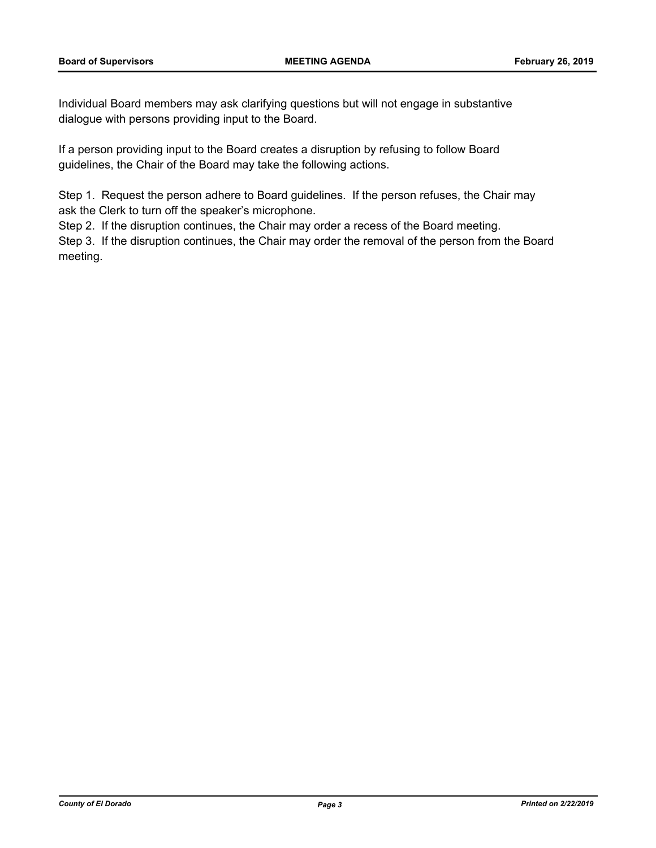Individual Board members may ask clarifying questions but will not engage in substantive dialogue with persons providing input to the Board.

If a person providing input to the Board creates a disruption by refusing to follow Board guidelines, the Chair of the Board may take the following actions.

Step 1. Request the person adhere to Board guidelines. If the person refuses, the Chair may ask the Clerk to turn off the speaker's microphone.

Step 2. If the disruption continues, the Chair may order a recess of the Board meeting.

Step 3. If the disruption continues, the Chair may order the removal of the person from the Board meeting.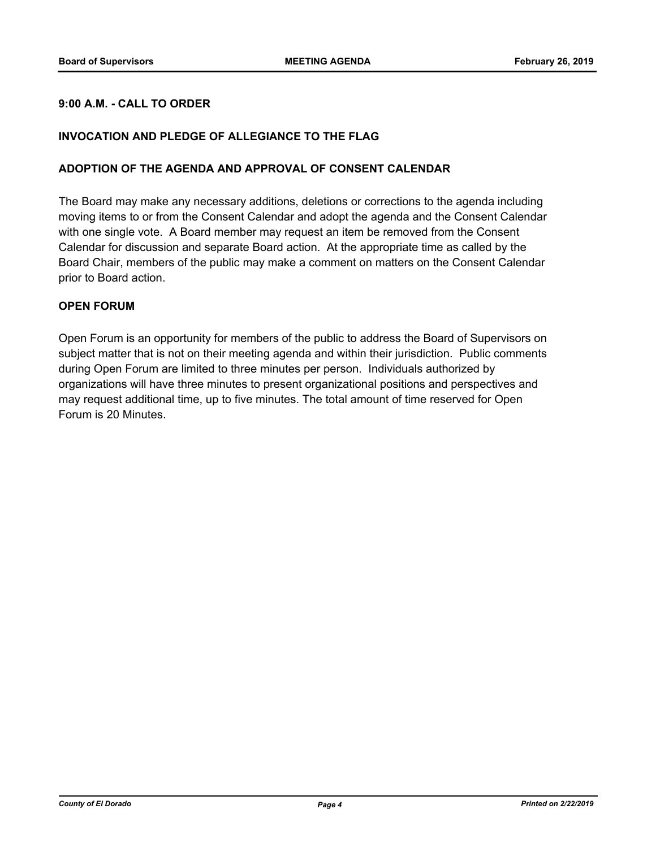# **9:00 A.M. - CALL TO ORDER**

### **INVOCATION AND PLEDGE OF ALLEGIANCE TO THE FLAG**

#### **ADOPTION OF THE AGENDA AND APPROVAL OF CONSENT CALENDAR**

The Board may make any necessary additions, deletions or corrections to the agenda including moving items to or from the Consent Calendar and adopt the agenda and the Consent Calendar with one single vote. A Board member may request an item be removed from the Consent Calendar for discussion and separate Board action. At the appropriate time as called by the Board Chair, members of the public may make a comment on matters on the Consent Calendar prior to Board action.

#### **OPEN FORUM**

Open Forum is an opportunity for members of the public to address the Board of Supervisors on subject matter that is not on their meeting agenda and within their jurisdiction. Public comments during Open Forum are limited to three minutes per person. Individuals authorized by organizations will have three minutes to present organizational positions and perspectives and may request additional time, up to five minutes. The total amount of time reserved for Open Forum is 20 Minutes.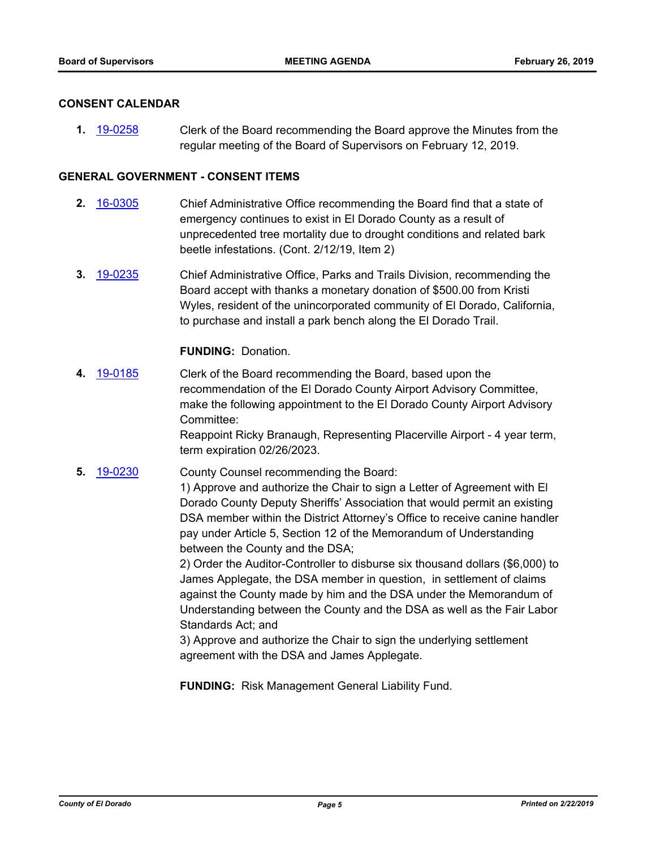#### **CONSENT CALENDAR**

**1.** [19-0258](http://eldorado.legistar.com/gateway.aspx?m=l&id=/matter.aspx?key=25579) Clerk of the Board recommending the Board approve the Minutes from the regular meeting of the Board of Supervisors on February 12, 2019.

## **GENERAL GOVERNMENT - CONSENT ITEMS**

- **2.** [16-0305](http://eldorado.legistar.com/gateway.aspx?m=l&id=/matter.aspx?key=20961) Chief Administrative Office recommending the Board find that a state of emergency continues to exist in El Dorado County as a result of unprecedented tree mortality due to drought conditions and related bark beetle infestations. (Cont. 2/12/19, Item 2)
- **3.** [19-0235](http://eldorado.legistar.com/gateway.aspx?m=l&id=/matter.aspx?key=25556) Chief Administrative Office, Parks and Trails Division, recommending the Board accept with thanks a monetary donation of \$500.00 from Kristi Wyles, resident of the unincorporated community of El Dorado, California, to purchase and install a park bench along the El Dorado Trail.

#### **FUNDING:** Donation.

**4.** [19-0185](http://eldorado.legistar.com/gateway.aspx?m=l&id=/matter.aspx?key=25505) Clerk of the Board recommending the Board, based upon the recommendation of the El Dorado County Airport Advisory Committee, make the following appointment to the El Dorado County Airport Advisory Committee:

> Reappoint Ricky Branaugh, Representing Placerville Airport - 4 year term, term expiration 02/26/2023.

**5.** [19-0230](http://eldorado.legistar.com/gateway.aspx?m=l&id=/matter.aspx?key=25551) County Counsel recommending the Board:

1) Approve and authorize the Chair to sign a Letter of Agreement with El Dorado County Deputy Sheriffs' Association that would permit an existing DSA member within the District Attorney's Office to receive canine handler pay under Article 5, Section 12 of the Memorandum of Understanding between the County and the DSA;

2) Order the Auditor-Controller to disburse six thousand dollars (\$6,000) to James Applegate, the DSA member in question, in settlement of claims against the County made by him and the DSA under the Memorandum of Understanding between the County and the DSA as well as the Fair Labor Standards Act; and

3) Approve and authorize the Chair to sign the underlying settlement agreement with the DSA and James Applegate.

**FUNDING:** Risk Management General Liability Fund.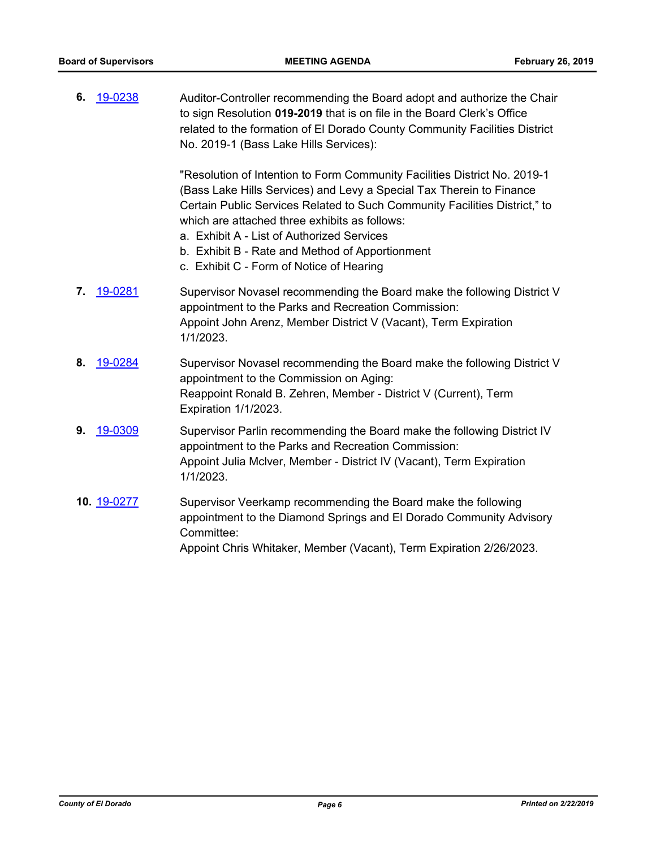| 6. | 19-0238     | Auditor-Controller recommending the Board adopt and authorize the Chair<br>to sign Resolution 019-2019 that is on file in the Board Clerk's Office<br>related to the formation of El Dorado County Community Facilities District<br>No. 2019-1 (Bass Lake Hills Services):                                                                                                                                                    |
|----|-------------|-------------------------------------------------------------------------------------------------------------------------------------------------------------------------------------------------------------------------------------------------------------------------------------------------------------------------------------------------------------------------------------------------------------------------------|
|    |             | "Resolution of Intention to Form Community Facilities District No. 2019-1<br>(Bass Lake Hills Services) and Levy a Special Tax Therein to Finance<br>Certain Public Services Related to Such Community Facilities District," to<br>which are attached three exhibits as follows:<br>a. Exhibit A - List of Authorized Services<br>b. Exhibit B - Rate and Method of Apportionment<br>c. Exhibit C - Form of Notice of Hearing |
| 7. | 19-0281     | Supervisor Novasel recommending the Board make the following District V<br>appointment to the Parks and Recreation Commission:<br>Appoint John Arenz, Member District V (Vacant), Term Expiration<br>1/1/2023.                                                                                                                                                                                                                |
| 8. | 19-0284     | Supervisor Novasel recommending the Board make the following District V<br>appointment to the Commission on Aging:<br>Reappoint Ronald B. Zehren, Member - District V (Current), Term<br>Expiration 1/1/2023.                                                                                                                                                                                                                 |
| 9. | 19-0309     | Supervisor Parlin recommending the Board make the following District IV<br>appointment to the Parks and Recreation Commission:<br>Appoint Julia McIver, Member - District IV (Vacant), Term Expiration<br>1/1/2023.                                                                                                                                                                                                           |
|    | 10. 19-0277 | Supervisor Veerkamp recommending the Board make the following<br>appointment to the Diamond Springs and El Dorado Community Advisory<br>Committee:<br>Appoint Chris Whitaker, Member (Vacant), Term Expiration 2/26/2023.                                                                                                                                                                                                     |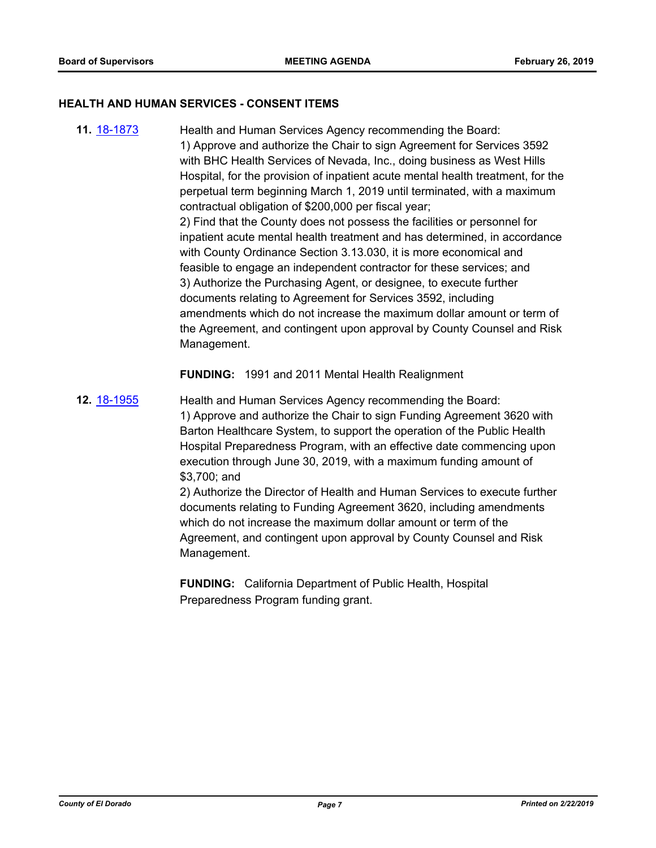#### **HEALTH AND HUMAN SERVICES - CONSENT ITEMS**

**11.** [18-1873](http://eldorado.legistar.com/gateway.aspx?m=l&id=/matter.aspx?key=25223) Health and Human Services Agency recommending the Board: 1) Approve and authorize the Chair to sign Agreement for Services 3592 with BHC Health Services of Nevada, Inc., doing business as West Hills Hospital, for the provision of inpatient acute mental health treatment, for the perpetual term beginning March 1, 2019 until terminated, with a maximum contractual obligation of \$200,000 per fiscal year; 2) Find that the County does not possess the facilities or personnel for inpatient acute mental health treatment and has determined, in accordance with County Ordinance Section 3.13.030, it is more economical and feasible to engage an independent contractor for these services; and 3) Authorize the Purchasing Agent, or designee, to execute further documents relating to Agreement for Services 3592, including amendments which do not increase the maximum dollar amount or term of the Agreement, and contingent upon approval by County Counsel and Risk Management.

**FUNDING:** 1991 and 2011 Mental Health Realignment

**12.** [18-1955](http://eldorado.legistar.com/gateway.aspx?m=l&id=/matter.aspx?key=25305) Health and Human Services Agency recommending the Board: 1) Approve and authorize the Chair to sign Funding Agreement 3620 with Barton Healthcare System, to support the operation of the Public Health Hospital Preparedness Program, with an effective date commencing upon execution through June 30, 2019, with a maximum funding amount of \$3,700; and 2) Authorize the Director of Health and Human Services to execute further

documents relating to Funding Agreement 3620, including amendments which do not increase the maximum dollar amount or term of the Agreement, and contingent upon approval by County Counsel and Risk Management.

**FUNDING:** California Department of Public Health, Hospital Preparedness Program funding grant.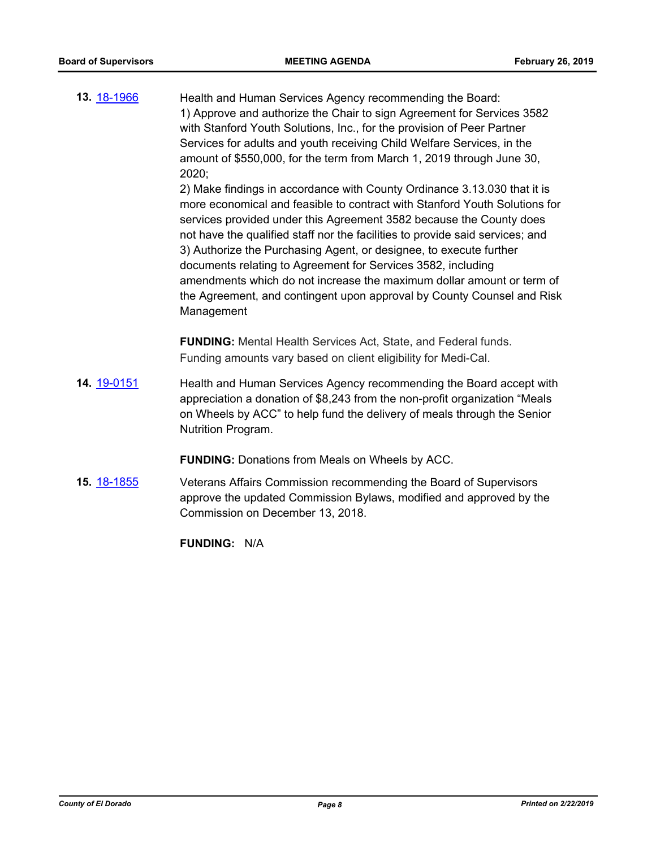**13.** [18-1966](http://eldorado.legistar.com/gateway.aspx?m=l&id=/matter.aspx?key=25316) Health and Human Services Agency recommending the Board: 1) Approve and authorize the Chair to sign Agreement for Services 3582 with Stanford Youth Solutions, Inc., for the provision of Peer Partner Services for adults and youth receiving Child Welfare Services, in the amount of \$550,000, for the term from March 1, 2019 through June 30, 2020;

> 2) Make findings in accordance with County Ordinance 3.13.030 that it is more economical and feasible to contract with Stanford Youth Solutions for services provided under this Agreement 3582 because the County does not have the qualified staff nor the facilities to provide said services; and 3) Authorize the Purchasing Agent, or designee, to execute further documents relating to Agreement for Services 3582, including amendments which do not increase the maximum dollar amount or term of the Agreement, and contingent upon approval by County Counsel and Risk Management

**FUNDING:** Mental Health Services Act, State, and Federal funds. Funding amounts vary based on client eligibility for Medi-Cal.

**14.** [19-0151](http://eldorado.legistar.com/gateway.aspx?m=l&id=/matter.aspx?key=25471) Health and Human Services Agency recommending the Board accept with appreciation a donation of \$8,243 from the non-profit organization "Meals on Wheels by ACC" to help fund the delivery of meals through the Senior Nutrition Program.

**FUNDING:** Donations from Meals on Wheels by ACC.

**15.** [18-1855](http://eldorado.legistar.com/gateway.aspx?m=l&id=/matter.aspx?key=25205) Veterans Affairs Commission recommending the Board of Supervisors approve the updated Commission Bylaws, modified and approved by the Commission on December 13, 2018.

**FUNDING:** N/A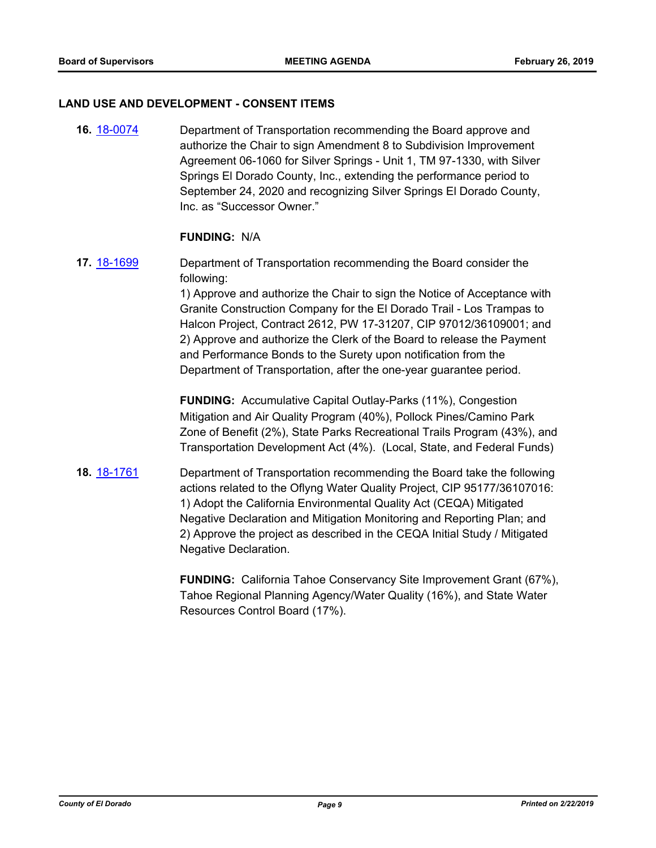#### **LAND USE AND DEVELOPMENT - CONSENT ITEMS**

**16.** [18-0074](http://eldorado.legistar.com/gateway.aspx?m=l&id=/matter.aspx?key=23415) Department of Transportation recommending the Board approve and authorize the Chair to sign Amendment 8 to Subdivision Improvement Agreement 06-1060 for Silver Springs - Unit 1, TM 97-1330, with Silver Springs El Dorado County, Inc., extending the performance period to September 24, 2020 and recognizing Silver Springs El Dorado County, Inc. as "Successor Owner."

#### **FUNDING:** N/A

**17.** [18-1699](http://eldorado.legistar.com/gateway.aspx?m=l&id=/matter.aspx?key=25050) Department of Transportation recommending the Board consider the following:

1) Approve and authorize the Chair to sign the Notice of Acceptance with Granite Construction Company for the El Dorado Trail - Los Trampas to Halcon Project, Contract 2612, PW 17-31207, CIP 97012/36109001; and 2) Approve and authorize the Clerk of the Board to release the Payment and Performance Bonds to the Surety upon notification from the Department of Transportation, after the one-year guarantee period.

**FUNDING:** Accumulative Capital Outlay-Parks (11%), Congestion Mitigation and Air Quality Program (40%), Pollock Pines/Camino Park Zone of Benefit (2%), State Parks Recreational Trails Program (43%), and Transportation Development Act (4%). (Local, State, and Federal Funds)

**18.** [18-1761](http://eldorado.legistar.com/gateway.aspx?m=l&id=/matter.aspx?key=25112) Department of Transportation recommending the Board take the following actions related to the Oflyng Water Quality Project, CIP 95177/36107016: 1) Adopt the California Environmental Quality Act (CEQA) Mitigated Negative Declaration and Mitigation Monitoring and Reporting Plan; and 2) Approve the project as described in the CEQA Initial Study / Mitigated Negative Declaration.

> **FUNDING:** California Tahoe Conservancy Site Improvement Grant (67%), Tahoe Regional Planning Agency/Water Quality (16%), and State Water Resources Control Board (17%).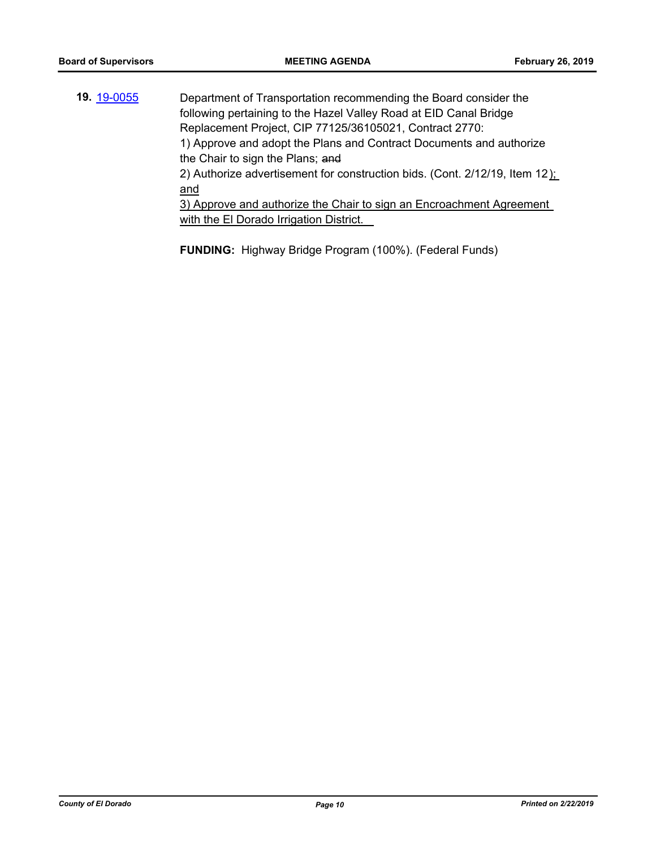**19.** [19-0055](http://eldorado.legistar.com/gateway.aspx?m=l&id=/matter.aspx?key=25376) Department of Transportation recommending the Board consider the following pertaining to the Hazel Valley Road at EID Canal Bridge Replacement Project, CIP 77125/36105021, Contract 2770: 1) Approve and adopt the Plans and Contract Documents and authorize the Chair to sign the Plans; and 2) Authorize advertisement for construction bids. (Cont. 2/12/19, Item 12): and 3) Approve and authorize the Chair to sign an Encroachment Agreement with the El Dorado Irrigation District.

**FUNDING:** Highway Bridge Program (100%). (Federal Funds)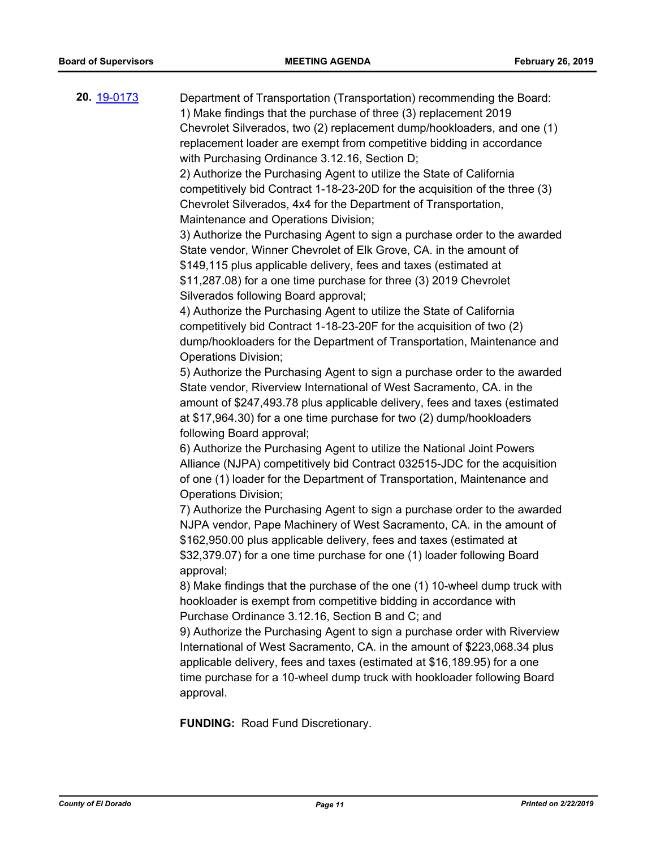**20.** [19-0173](http://eldorado.legistar.com/gateway.aspx?m=l&id=/matter.aspx?key=25493) Department of Transportation (Transportation) recommending the Board: 1) Make findings that the purchase of three (3) replacement 2019 Chevrolet Silverados, two (2) replacement dump/hookloaders, and one (1) replacement loader are exempt from competitive bidding in accordance with Purchasing Ordinance 3.12.16, Section D; 2) Authorize the Purchasing Agent to utilize the State of California competitively bid Contract 1-18-23-20D for the acquisition of the three (3) Chevrolet Silverados, 4x4 for the Department of Transportation, Maintenance and Operations Division; 3) Authorize the Purchasing Agent to sign a purchase order to the awarded State vendor, Winner Chevrolet of Elk Grove, CA. in the amount of \$149,115 plus applicable delivery, fees and taxes (estimated at \$11,287.08) for a one time purchase for three (3) 2019 Chevrolet Silverados following Board approval; 4) Authorize the Purchasing Agent to utilize the State of California competitively bid Contract 1-18-23-20F for the acquisition of two (2) dump/hookloaders for the Department of Transportation, Maintenance and Operations Division; 5) Authorize the Purchasing Agent to sign a purchase order to the awarded State vendor, Riverview International of West Sacramento, CA. in the amount of \$247,493.78 plus applicable delivery, fees and taxes (estimated at \$17,964.30) for a one time purchase for two (2) dump/hookloaders following Board approval; 6) Authorize the Purchasing Agent to utilize the National Joint Powers Alliance (NJPA) competitively bid Contract 032515-JDC for the acquisition of one (1) loader for the Department of Transportation, Maintenance and Operations Division; 7) Authorize the Purchasing Agent to sign a purchase order to the awarded NJPA vendor, Pape Machinery of West Sacramento, CA. in the amount of \$162,950.00 plus applicable delivery, fees and taxes (estimated at \$32,379.07) for a one time purchase for one (1) loader following Board approval; 8) Make findings that the purchase of the one (1) 10-wheel dump truck with hookloader is exempt from competitive bidding in accordance with Purchase Ordinance 3.12.16, Section B and C; and 9) Authorize the Purchasing Agent to sign a purchase order with Riverview International of West Sacramento, CA. in the amount of \$223,068.34 plus applicable delivery, fees and taxes (estimated at \$16,189.95) for a one time purchase for a 10-wheel dump truck with hookloader following Board approval. **FUNDING:** Road Fund Discretionary.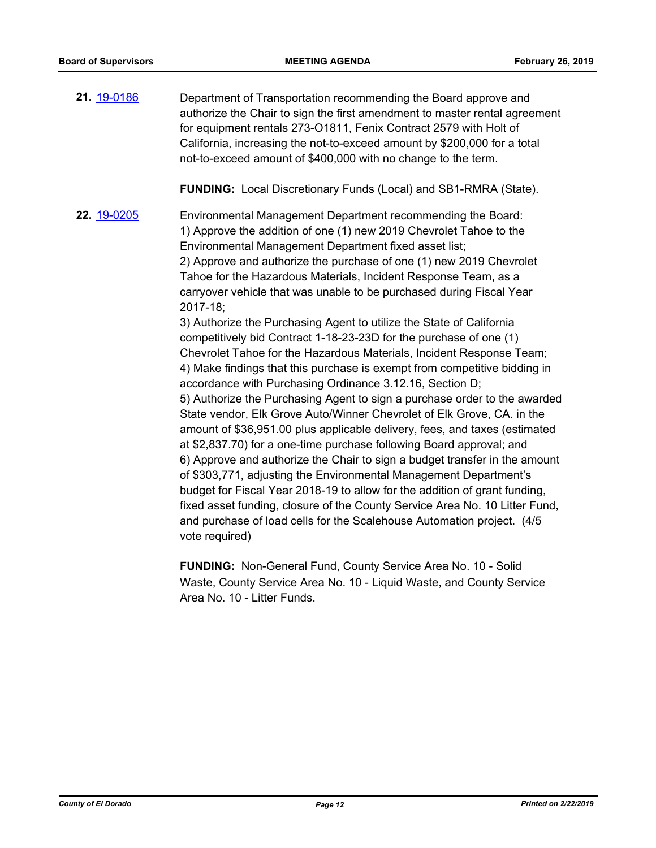**21.** [19-0186](http://eldorado.legistar.com/gateway.aspx?m=l&id=/matter.aspx?key=25506) Department of Transportation recommending the Board approve and authorize the Chair to sign the first amendment to master rental agreement for equipment rentals 273-O1811, Fenix Contract 2579 with Holt of California, increasing the not-to-exceed amount by \$200,000 for a total not-to-exceed amount of \$400,000 with no change to the term.

**FUNDING:** Local Discretionary Funds (Local) and SB1-RMRA (State).

**22.** [19-0205](http://eldorado.legistar.com/gateway.aspx?m=l&id=/matter.aspx?key=25525) Environmental Management Department recommending the Board: 1) Approve the addition of one (1) new 2019 Chevrolet Tahoe to the Environmental Management Department fixed asset list; 2) Approve and authorize the purchase of one (1) new 2019 Chevrolet Tahoe for the Hazardous Materials, Incident Response Team, as a carryover vehicle that was unable to be purchased during Fiscal Year 2017-18;

3) Authorize the Purchasing Agent to utilize the State of California competitively bid Contract 1-18-23-23D for the purchase of one (1) Chevrolet Tahoe for the Hazardous Materials, Incident Response Team; 4) Make findings that this purchase is exempt from competitive bidding in accordance with Purchasing Ordinance 3.12.16, Section D; 5) Authorize the Purchasing Agent to sign a purchase order to the awarded State vendor, Elk Grove Auto/Winner Chevrolet of Elk Grove, CA. in the amount of \$36,951.00 plus applicable delivery, fees, and taxes (estimated at \$2,837.70) for a one-time purchase following Board approval; and 6) Approve and authorize the Chair to sign a budget transfer in the amount of \$303,771, adjusting the Environmental Management Department's budget for Fiscal Year 2018-19 to allow for the addition of grant funding, fixed asset funding, closure of the County Service Area No. 10 Litter Fund, and purchase of load cells for the Scalehouse Automation project. (4/5 vote required)

**FUNDING:** Non-General Fund, County Service Area No. 10 - Solid Waste, County Service Area No. 10 - Liquid Waste, and County Service Area No. 10 - Litter Funds.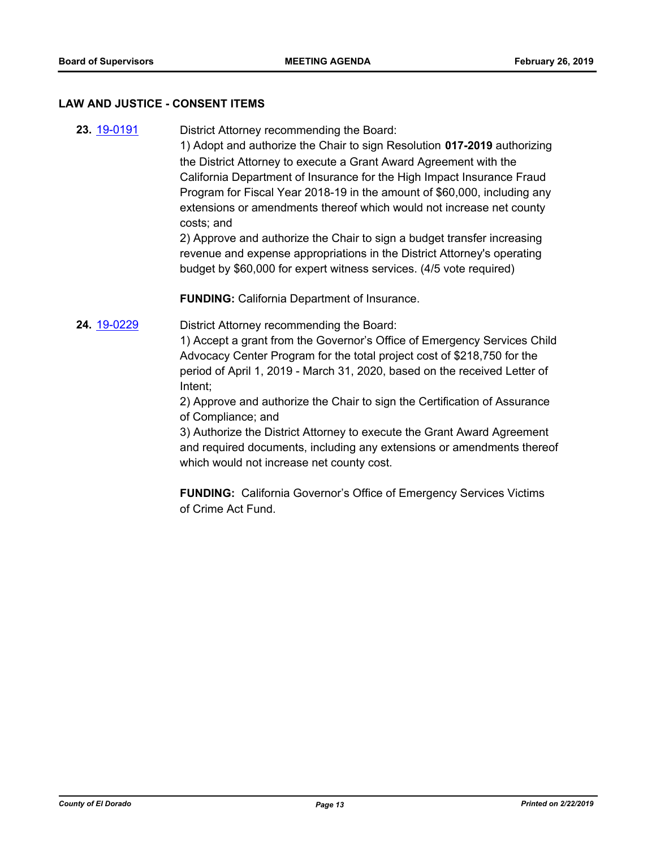#### **LAW AND JUSTICE - CONSENT ITEMS**

**23.** [19-0191](http://eldorado.legistar.com/gateway.aspx?m=l&id=/matter.aspx?key=25511) District Attorney recommending the Board:

1) Adopt and authorize the Chair to sign Resolution **017-2019** authorizing the District Attorney to execute a Grant Award Agreement with the California Department of Insurance for the High Impact Insurance Fraud Program for Fiscal Year 2018-19 in the amount of \$60,000, including any extensions or amendments thereof which would not increase net county costs; and

2) Approve and authorize the Chair to sign a budget transfer increasing revenue and expense appropriations in the District Attorney's operating budget by \$60,000 for expert witness services. (4/5 vote required)

**FUNDING:** California Department of Insurance.

**24.** [19-0229](http://eldorado.legistar.com/gateway.aspx?m=l&id=/matter.aspx?key=25550) District Attorney recommending the Board:

1) Accept a grant from the Governor's Office of Emergency Services Child Advocacy Center Program for the total project cost of \$218,750 for the period of April 1, 2019 - March 31, 2020, based on the received Letter of Intent;

2) Approve and authorize the Chair to sign the Certification of Assurance of Compliance; and

3) Authorize the District Attorney to execute the Grant Award Agreement and required documents, including any extensions or amendments thereof which would not increase net county cost.

**FUNDING:** California Governor's Office of Emergency Services Victims of Crime Act Fund.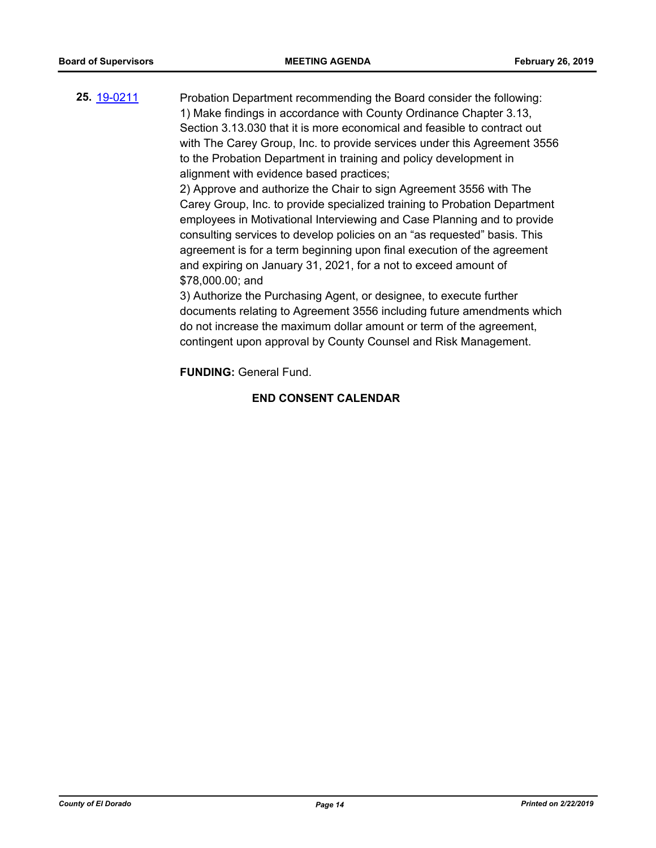**25.** [19-0211](http://eldorado.legistar.com/gateway.aspx?m=l&id=/matter.aspx?key=25531) Probation Department recommending the Board consider the following: 1) Make findings in accordance with County Ordinance Chapter 3.13, Section 3.13.030 that it is more economical and feasible to contract out with The Carey Group, Inc. to provide services under this Agreement 3556 to the Probation Department in training and policy development in alignment with evidence based practices;

2) Approve and authorize the Chair to sign Agreement 3556 with The Carey Group, Inc. to provide specialized training to Probation Department employees in Motivational Interviewing and Case Planning and to provide consulting services to develop policies on an "as requested" basis. This agreement is for a term beginning upon final execution of the agreement and expiring on January 31, 2021, for a not to exceed amount of \$78,000.00; and

3) Authorize the Purchasing Agent, or designee, to execute further documents relating to Agreement 3556 including future amendments which do not increase the maximum dollar amount or term of the agreement, contingent upon approval by County Counsel and Risk Management.

**FUNDING:** General Fund.

## **END CONSENT CALENDAR**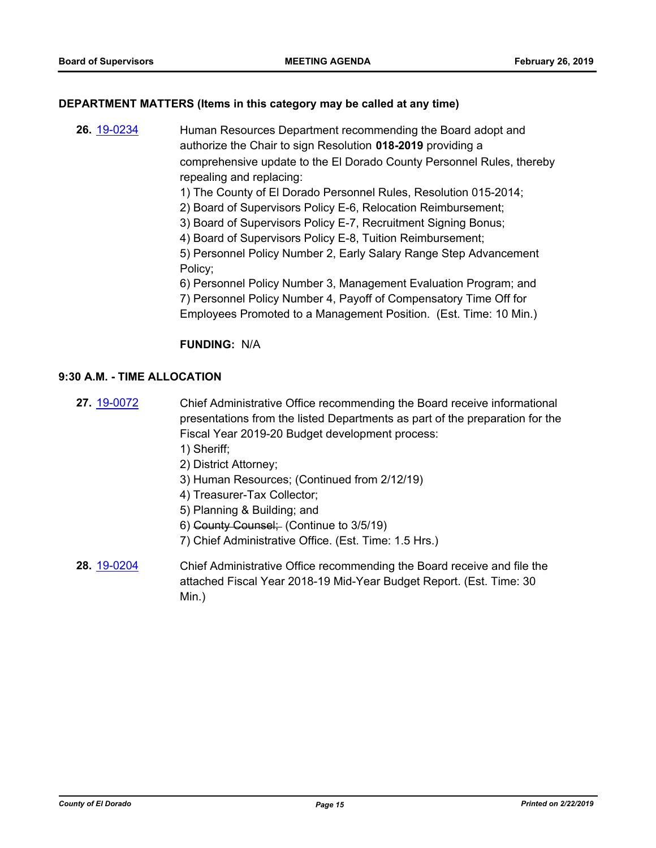#### **DEPARTMENT MATTERS (Items in this category may be called at any time)**

- **26.** [19-0234](http://eldorado.legistar.com/gateway.aspx?m=l&id=/matter.aspx?key=25555) Human Resources Department recommending the Board adopt and authorize the Chair to sign Resolution **018-2019** providing a comprehensive update to the El Dorado County Personnel Rules, thereby repealing and replacing:
	- 1) The County of El Dorado Personnel Rules, Resolution 015-2014;
	- 2) Board of Supervisors Policy E-6, Relocation Reimbursement;
	- 3) Board of Supervisors Policy E-7, Recruitment Signing Bonus;
	- 4) Board of Supervisors Policy E-8, Tuition Reimbursement;

5) Personnel Policy Number 2, Early Salary Range Step Advancement Policy;

6) Personnel Policy Number 3, Management Evaluation Program; and 7) Personnel Policy Number 4, Payoff of Compensatory Time Off for Employees Promoted to a Management Position. (Est. Time: 10 Min.)

#### **FUNDING:** N/A

## **9:30 A.M. - TIME ALLOCATION**

- **27.** [19-0072](http://eldorado.legistar.com/gateway.aspx?m=l&id=/matter.aspx?key=25393) Chief Administrative Office recommending the Board receive informational presentations from the listed Departments as part of the preparation for the Fiscal Year 2019-20 Budget development process: 1) Sheriff;
	- 2) District Attorney;
	- 3) Human Resources; (Continued from 2/12/19)
	- 4) Treasurer-Tax Collector;
	- 5) Planning & Building; and
	- 6) County Counsel; (Continue to 3/5/19)
	- 7) Chief Administrative Office. (Est. Time: 1.5 Hrs.)
- **28.** [19-0204](http://eldorado.legistar.com/gateway.aspx?m=l&id=/matter.aspx?key=25524) Chief Administrative Office recommending the Board receive and file the attached Fiscal Year 2018-19 Mid-Year Budget Report. (Est. Time: 30 Min.)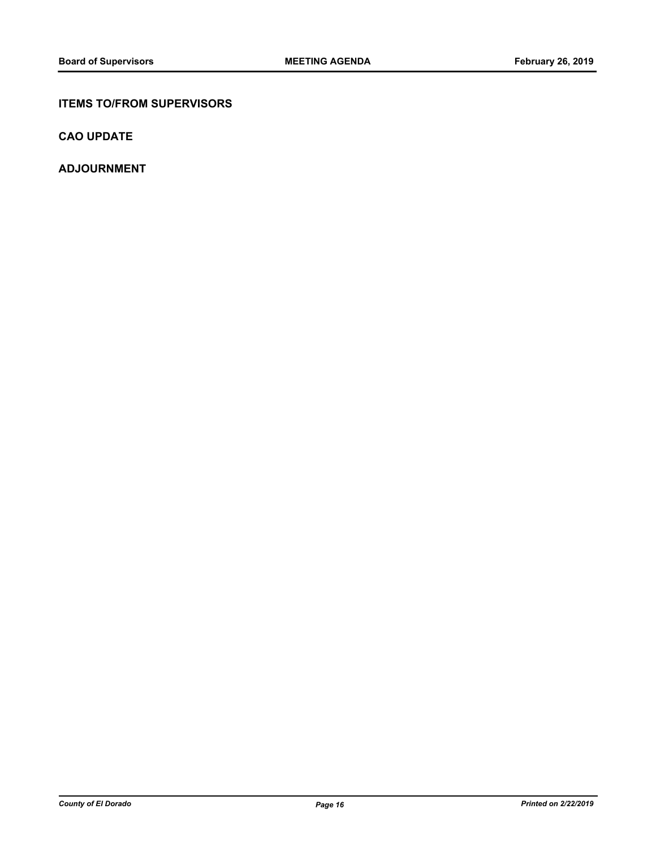## **ITEMS TO/FROM SUPERVISORS**

**CAO UPDATE**

**ADJOURNMENT**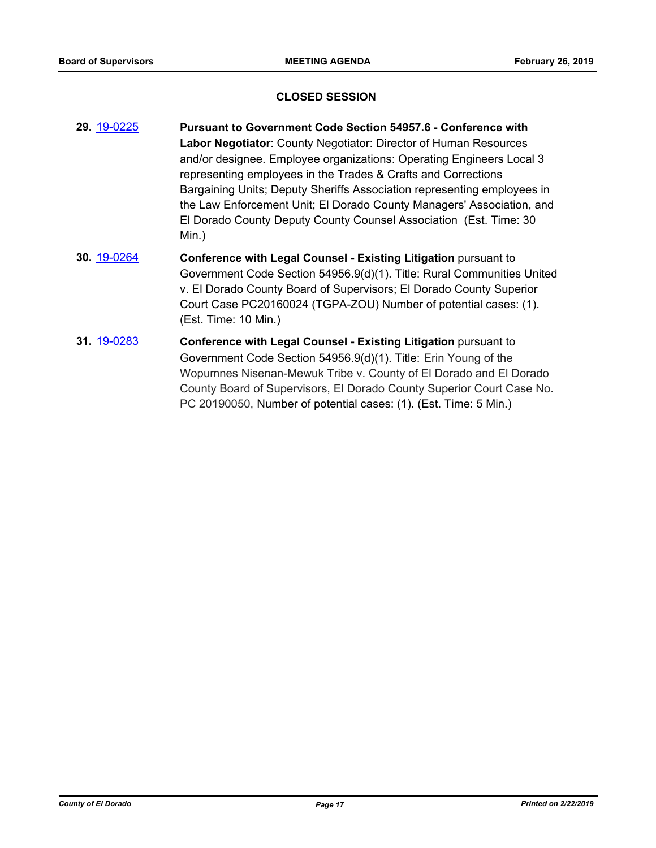#### **CLOSED SESSION**

- **29.** [19-0225](http://eldorado.legistar.com/gateway.aspx?m=l&id=/matter.aspx?key=25545) **Pursuant to Government Code Section 54957.6 Conference with Labor Negotiator**: County Negotiator: Director of Human Resources and/or designee. Employee organizations: Operating Engineers Local 3 representing employees in the Trades & Crafts and Corrections Bargaining Units; Deputy Sheriffs Association representing employees in the Law Enforcement Unit; El Dorado County Managers' Association, and El Dorado County Deputy County Counsel Association (Est. Time: 30 Min.)
- **30.** [19-0264](http://eldorado.legistar.com/gateway.aspx?m=l&id=/matter.aspx?key=25586) **Conference with Legal Counsel - Existing Litigation** pursuant to Government Code Section 54956.9(d)(1). Title: Rural Communities United v. El Dorado County Board of Supervisors; El Dorado County Superior Court Case PC20160024 (TGPA-ZOU) Number of potential cases: (1). (Est. Time: 10 Min.)
- **31.** [19-0283](http://eldorado.legistar.com/gateway.aspx?m=l&id=/matter.aspx?key=25605) **Conference with Legal Counsel - Existing Litigation** pursuant to Government Code Section 54956.9(d)(1). Title: Erin Young of the Wopumnes Nisenan-Mewuk Tribe v. County of El Dorado and El Dorado County Board of Supervisors, El Dorado County Superior Court Case No. PC 20190050, Number of potential cases: (1). (Est. Time: 5 Min.)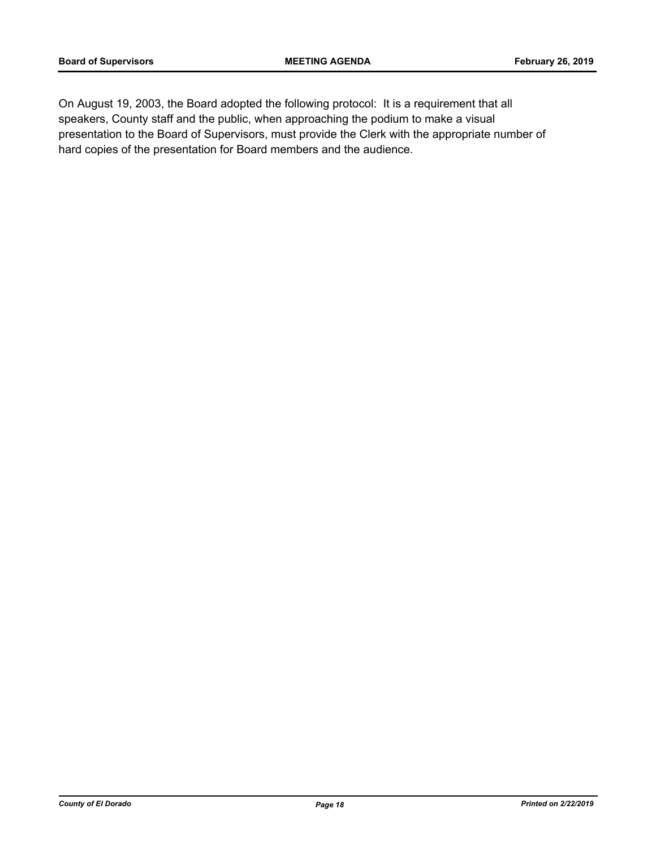On August 19, 2003, the Board adopted the following protocol: It is a requirement that all speakers, County staff and the public, when approaching the podium to make a visual presentation to the Board of Supervisors, must provide the Clerk with the appropriate number of hard copies of the presentation for Board members and the audience.